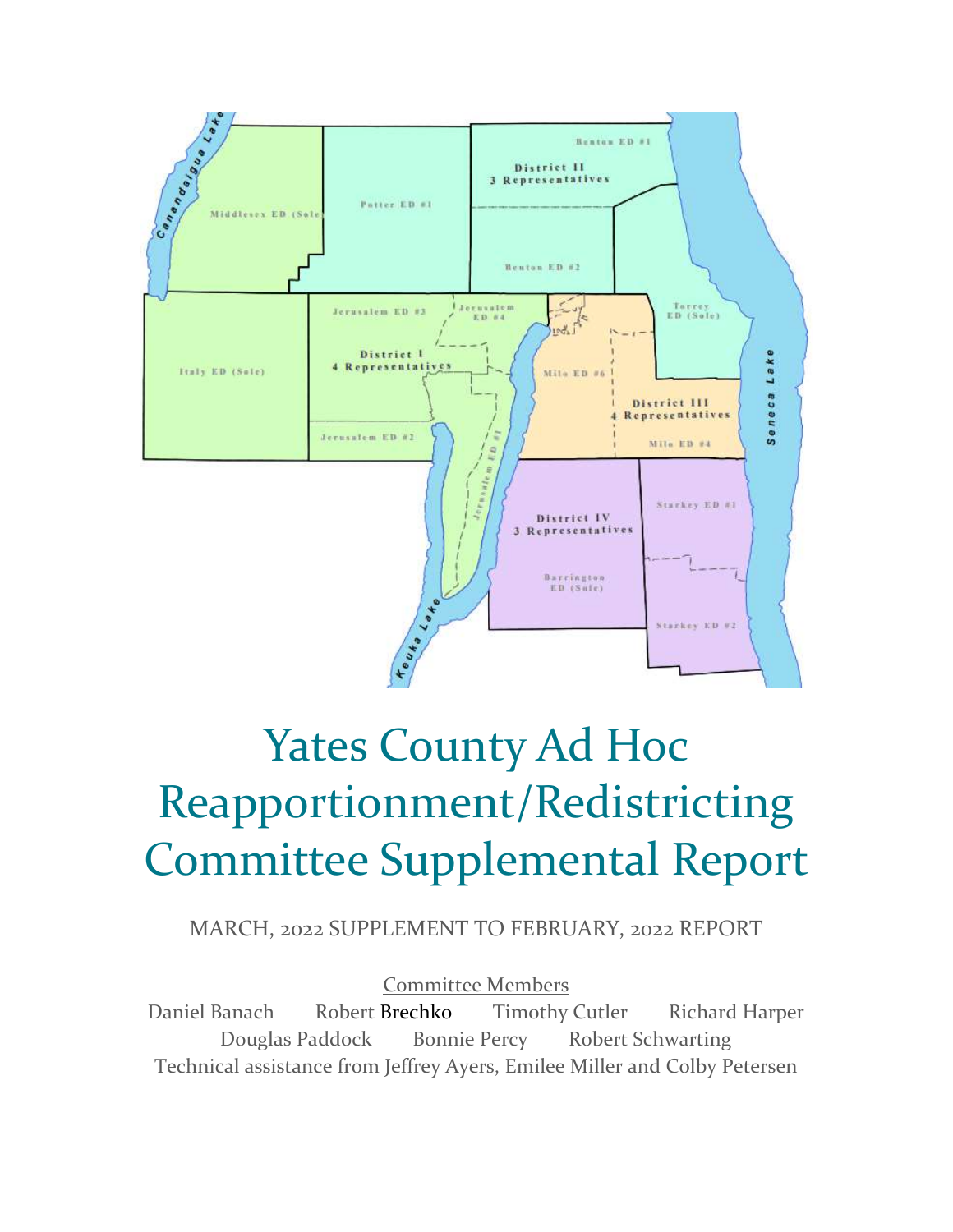

# Yates County Ad Hoc Reapportionment/Redistricting Committee Supplemental Report

MARCH, 2022 SUPPLEMENT TO FEBRUARY, 2022 REPORT

Committee Members Daniel Banach Robert Brechko Timothy Cutler Richard Harper Douglas Paddock Bonnie Percy Robert Schwarting Technical assistance from Jeffrey Ayers, Emilee Miller and Colby Petersen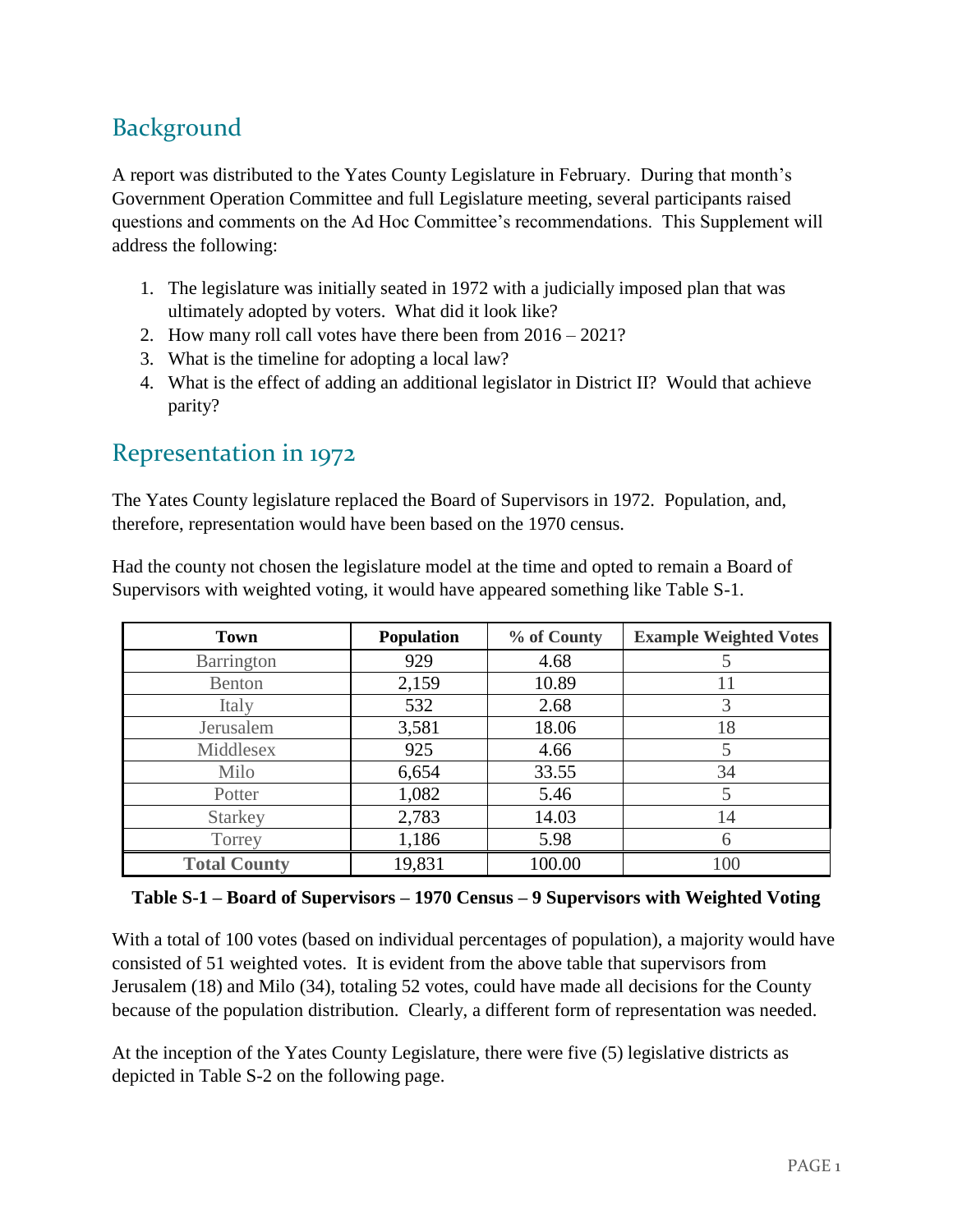## Background

A report was distributed to the Yates County Legislature in February. During that month's Government Operation Committee and full Legislature meeting, several participants raised questions and comments on the Ad Hoc Committee's recommendations. This Supplement will address the following:

- 1. The legislature was initially seated in 1972 with a judicially imposed plan that was ultimately adopted by voters. What did it look like?
- 2. How many roll call votes have there been from 2016 2021?
- 3. What is the timeline for adopting a local law?
- 4. What is the effect of adding an additional legislator in District II? Would that achieve parity?

### Representation in 1972

The Yates County legislature replaced the Board of Supervisors in 1972. Population, and, therefore, representation would have been based on the 1970 census.

| Had the county not chosen the legislature model at the time and opted to remain a Board of |
|--------------------------------------------------------------------------------------------|
| Supervisors with weighted voting, it would have appeared something like Table S-1.         |

| <b>Town</b>         | <b>Population</b> | % of County | <b>Example Weighted Votes</b> |
|---------------------|-------------------|-------------|-------------------------------|
| Barrington          | 929               | 4.68        |                               |
| Benton              | 2,159             | 10.89       | 11                            |
| Italy               | 532               | 2.68        | 3                             |
| Jerusalem           | 3,581             | 18.06       | 18                            |
| Middlesex           | 925               | 4.66        | 5                             |
| Milo                | 6,654             | 33.55       | 34                            |
| Potter              | 1,082             | 5.46        | 5                             |
| <b>Starkey</b>      | 2,783             | 14.03       | 14                            |
| Torrey              | 1,186             | 5.98        | 6                             |
| <b>Total County</b> | 19,831            | 100.00      | 100                           |

#### **Table S-1 – Board of Supervisors – 1970 Census – 9 Supervisors with Weighted Voting**

With a total of 100 votes (based on individual percentages of population), a majority would have consisted of 51 weighted votes. It is evident from the above table that supervisors from Jerusalem (18) and Milo (34), totaling 52 votes, could have made all decisions for the County because of the population distribution. Clearly, a different form of representation was needed.

At the inception of the Yates County Legislature, there were five (5) legislative districts as depicted in Table S-2 on the following page.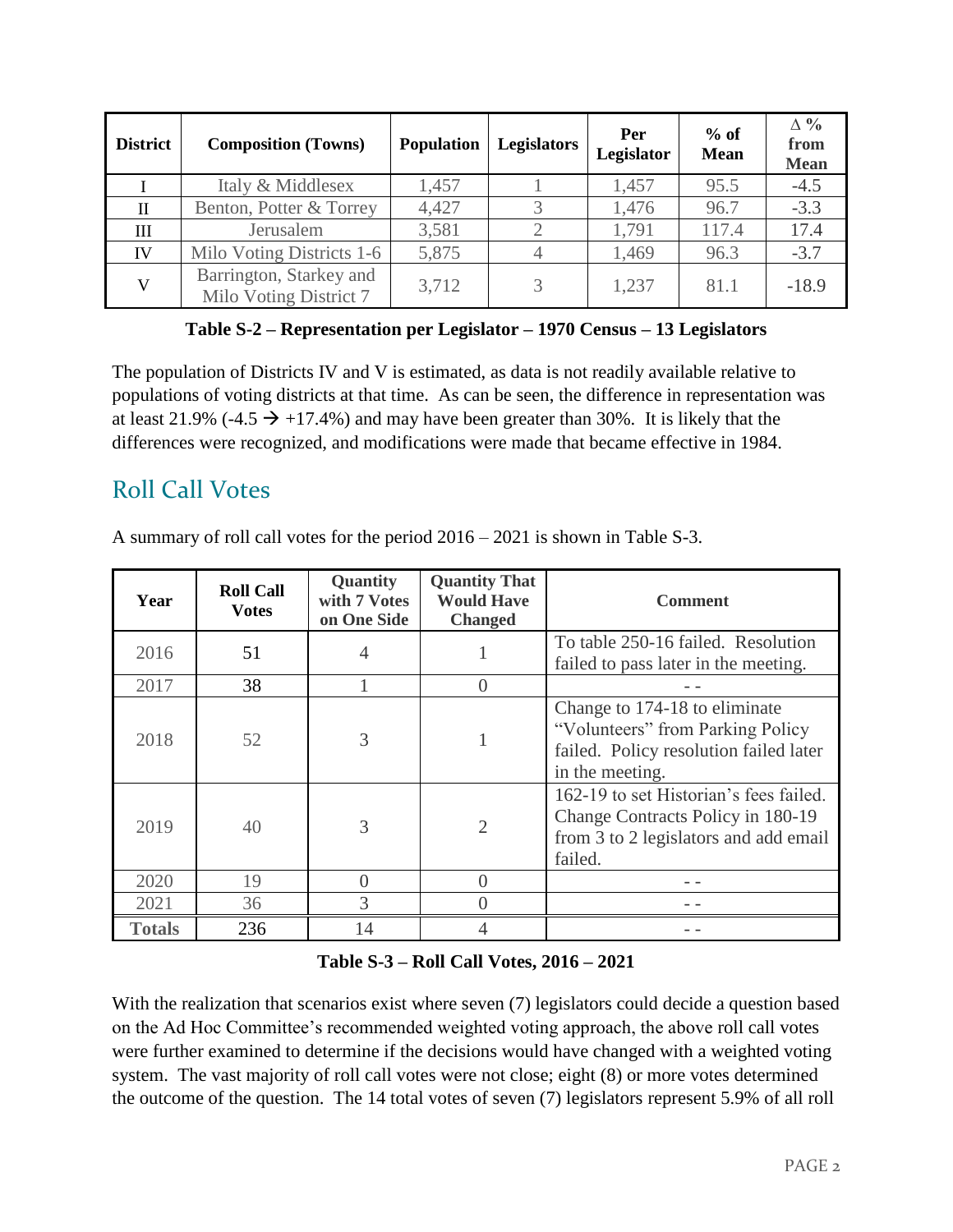| <b>District</b> | <b>Composition (Towns)</b>                        | <b>Population</b> | <b>Legislators</b> | Per<br>Legislator | $%$ of<br><b>Mean</b> | $\Delta \%$<br>from<br><b>Mean</b> |
|-----------------|---------------------------------------------------|-------------------|--------------------|-------------------|-----------------------|------------------------------------|
|                 | Italy & Middlesex                                 | 1,457             |                    | 1,457             | 95.5                  | $-4.5$                             |
| H               | Benton, Potter & Torrey                           | 4,427             |                    | 1,476             | 96.7                  | $-3.3$                             |
| Ш               | Jerusalem                                         | 3,581             |                    | 1,791             | 117.4                 | 17.4                               |
| IV              | Milo Voting Districts 1-6                         | 5,875             |                    | 1,469             | 96.3                  | $-3.7$                             |
| $\mathbf{V}$    | Barrington, Starkey and<br>Milo Voting District 7 | 3,712             |                    | 1,237             | 81.1                  | $-18.9$                            |

**Table S-2 – Representation per Legislator – 1970 Census – 13 Legislators**

The population of Districts IV and V is estimated, as data is not readily available relative to populations of voting districts at that time. As can be seen, the difference in representation was at least 21.9% (-4.5  $\rightarrow$  +17.4%) and may have been greater than 30%. It is likely that the differences were recognized, and modifications were made that became effective in 1984.

## Roll Call Votes

A summary of roll call votes for the period 2016 – 2021 is shown in Table S-3.

| Year          | <b>Roll Call</b><br><b>Votes</b> | Quantity<br>with 7 Votes<br>on One Side | <b>Quantity That</b><br><b>Would Have</b><br><b>Changed</b> | <b>Comment</b>                                                                                                                  |
|---------------|----------------------------------|-----------------------------------------|-------------------------------------------------------------|---------------------------------------------------------------------------------------------------------------------------------|
| 2016          | 51                               |                                         |                                                             | To table 250-16 failed. Resolution<br>failed to pass later in the meeting.                                                      |
| 2017          | 38                               |                                         | $\theta$                                                    |                                                                                                                                 |
| 2018          | 52                               | 3                                       |                                                             | Change to 174-18 to eliminate<br>"Volunteers" from Parking Policy<br>failed. Policy resolution failed later<br>in the meeting.  |
| 2019          | 40                               | 3                                       | $\overline{2}$                                              | 162-19 to set Historian's fees failed.<br>Change Contracts Policy in 180-19<br>from 3 to 2 legislators and add email<br>failed. |
| 2020          | 19                               | $\Omega$                                | $\Omega$                                                    |                                                                                                                                 |
| 2021          | 36                               | 3                                       |                                                             |                                                                                                                                 |
| <b>Totals</b> | 236                              | 14                                      | 4                                                           |                                                                                                                                 |

#### **Table S-3 – Roll Call Votes, 2016 – 2021**

With the realization that scenarios exist where seven (7) legislators could decide a question based on the Ad Hoc Committee's recommended weighted voting approach, the above roll call votes were further examined to determine if the decisions would have changed with a weighted voting system. The vast majority of roll call votes were not close; eight (8) or more votes determined the outcome of the question. The 14 total votes of seven (7) legislators represent 5.9% of all roll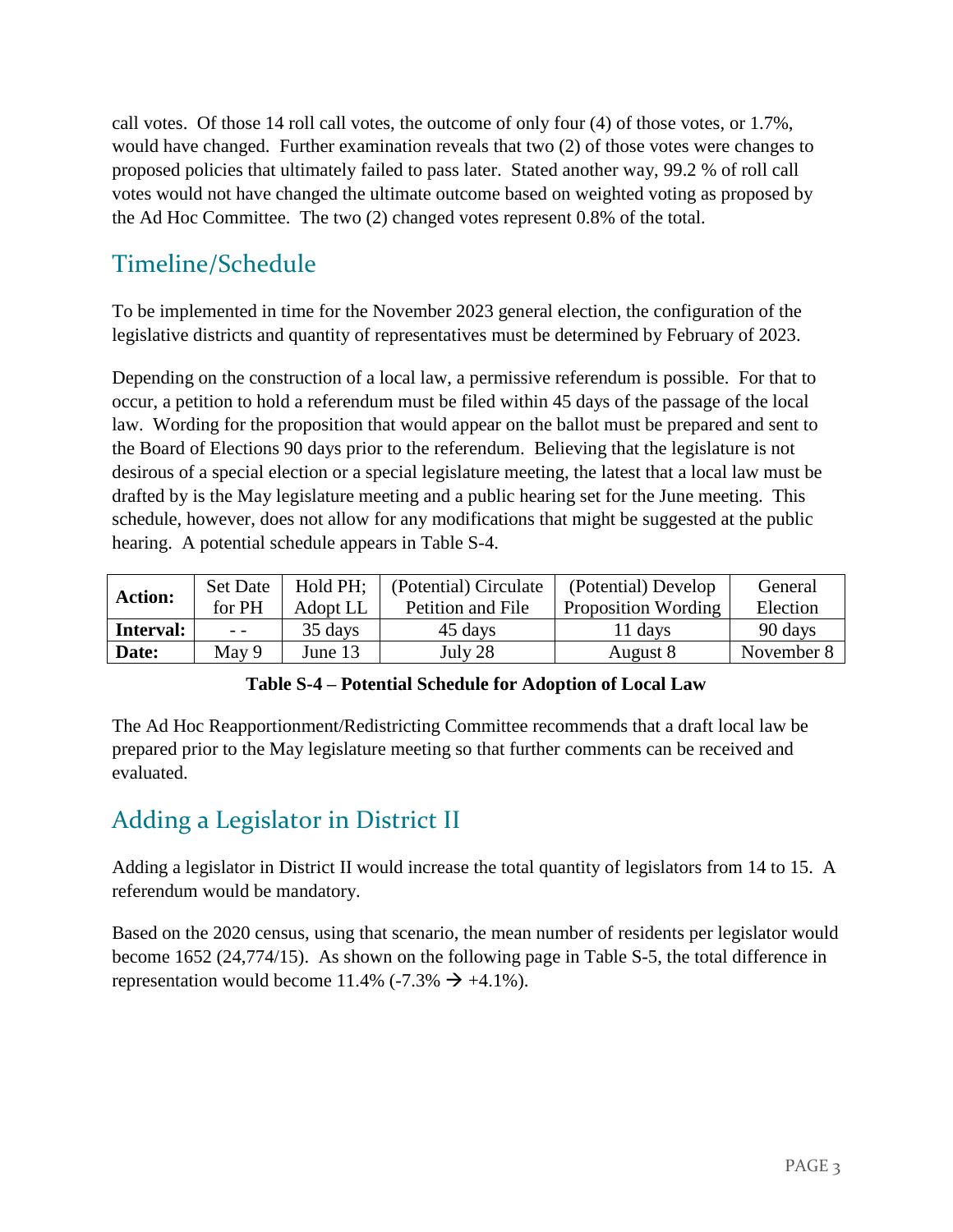call votes. Of those 14 roll call votes, the outcome of only four (4) of those votes, or 1.7%, would have changed. Further examination reveals that two (2) of those votes were changes to proposed policies that ultimately failed to pass later. Stated another way, 99.2 % of roll call votes would not have changed the ultimate outcome based on weighted voting as proposed by the Ad Hoc Committee. The two (2) changed votes represent 0.8% of the total.

# Timeline/Schedule

To be implemented in time for the November 2023 general election, the configuration of the legislative districts and quantity of representatives must be determined by February of 2023.

Depending on the construction of a local law, a permissive referendum is possible. For that to occur, a petition to hold a referendum must be filed within 45 days of the passage of the local law. Wording for the proposition that would appear on the ballot must be prepared and sent to the Board of Elections 90 days prior to the referendum. Believing that the legislature is not desirous of a special election or a special legislature meeting, the latest that a local law must be drafted by is the May legislature meeting and a public hearing set for the June meeting. This schedule, however, does not allow for any modifications that might be suggested at the public hearing. A potential schedule appears in Table S-4.

| <b>Action:</b> | <b>Set Date</b> | Hold PH; | (Potential) Circulate | (Potential) Develop        | General    |
|----------------|-----------------|----------|-----------------------|----------------------------|------------|
|                | for PH          | Adopt LL | Petition and File     | <b>Proposition Wording</b> | Election   |
| Interval:      | $ -$            | 35 days  | 45 days               | 11 days                    | 90 days    |
| Date:          | May 9           | June 13  | July 28               | August 8                   | November 8 |

|  | Table S-4 – Potential Schedule for Adoption of Local Law |  |  |
|--|----------------------------------------------------------|--|--|
|  |                                                          |  |  |

The Ad Hoc Reapportionment/Redistricting Committee recommends that a draft local law be prepared prior to the May legislature meeting so that further comments can be received and evaluated.

# Adding a Legislator in District II

Adding a legislator in District II would increase the total quantity of legislators from 14 to 15. A referendum would be mandatory.

Based on the 2020 census, using that scenario, the mean number of residents per legislator would become 1652 (24,774/15). As shown on the following page in Table S-5, the total difference in representation would become 11.4% (-7.3%  $\rightarrow$  +4.1%).